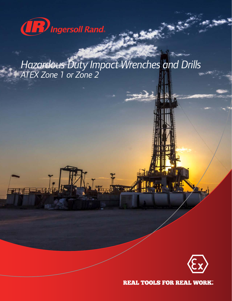

de la

# *Hazardous Duty Impact Wrenches and Drills ATEX Zone 1 or Zone 2*

j|z



### **REAL TOOLS FOR REAL WORK.**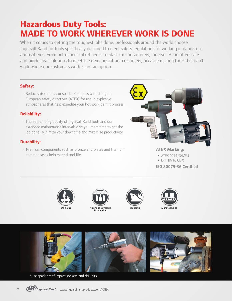## **Hazardous Duty Tools: MADE TO WORK WHEREVER WORK IS DONE**

When it comes to getting the toughest jobs done, professionals around the world choose Ingersoll Rand for tools specifically designed to meet safety regulations for working in dangerous atmospheres. From petrochemical refineries to plastic manufacturers, Ingersoll Rand offers safe and productive solutions to meet the demands of our customers, because making tools that can't work where our customers work is not an option.

### **Safety:**

•Reduces risk of arcs or sparks. Complies with stringent European safety directives (ATEX) for use in explosive atmospheres that help expedite your hot work permit process

### **Reliability:**

•The outstanding quality of Ingersoll Rand tools and our extended maintenance intervals give you more time to get the job done. Minimize your downtime and maximize productivity

### **Durability:**

• Premium components such as bronze end plates and titanium hammer cases help extend tool life



**ATEX Marking:**

- ATEX 2014/34/EU
- Ex h IIA T6 Gb X

**ISO 80079-36 Certified**











\*Use spark proof impact sockets and drill bits

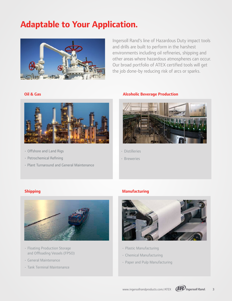## **Adaptable to Your Application.**



Ingersoll Rand's line of Hazardous Duty impact tools and drills are built to perform in the harshest environments including oil refineries, shipping and other areas where hazardous atmospheres can occur. Our broad portfolio of ATEX certified tools will get the job done-by reducing risk of arcs or sparks.

#### **Oil & Gas**



- Offshore and Land Rigs
- Petrochemical Refining
- Plant Turnaround and General Maintenance

#### **Alcoholic Beverage Production**



- Distilleries
- Breweries

#### **Shipping**



- Floating Production Storage and Offloading Vessels (FPSO)
- General Maintenance
- Tank Terminal Maintenance

#### **Manufacturing**



- Plastic Manufacturing
- Chemical Manufacturing
- Paper and Pulp Manufacturing

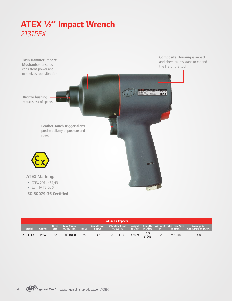### **ATEX ½" Impact Wrench** *2131PEX*



| <b>ATEX Air Impacts</b> |         |                 |                                        |            |                             |                                      |        |              |                                                                 |                                       |                                                 |  |
|-------------------------|---------|-----------------|----------------------------------------|------------|-----------------------------|--------------------------------------|--------|--------------|-----------------------------------------------------------------|---------------------------------------|-------------------------------------------------|--|
| <b>Model</b>            | Config. | <b>Drive</b>    | <b>Max Torque</b><br>Size ft.-lb. (Nm) | <b>BPM</b> | <b>Sound Level</b><br>dB(A) | <b>Vibration Level</b><br>$M/52$ (K) |        |              | $\mathsf{lb}\,(\mathsf{k}\mathsf{q})\,$ in $(\mathsf{mm})\,$ in | Weight Length Air-Inlet Min-Hose-Size | <b>Average Air</b><br>in (mm) Consumption (CFM) |  |
| 2131PEX                 | Pistol  | $\frac{1}{2}$ " | 600 (813)                              | 1250       | 93.7                        | 8.31(1.1)                            | 4.9(2) | 5./<br>(190) | $\frac{1}{4}$ "                                                 | $\frac{3}{8}$ " (10)                  | 4.8                                             |  |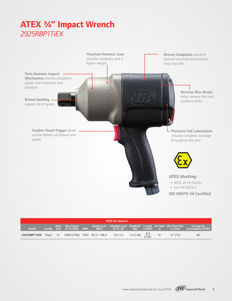## **ATEX 3/4" Impact Wrench** *2925RBP1TiEX*



| <b>ATEX Air Impacts</b> |                        |  |                                                         |  |                               |                                                                 |  |  |                 |                                                          |                                                                                                |
|-------------------------|------------------------|--|---------------------------------------------------------|--|-------------------------------|-----------------------------------------------------------------|--|--|-----------------|----------------------------------------------------------|------------------------------------------------------------------------------------------------|
| <b>Model</b>            |                        |  | <b>Drive</b> Max Torque<br>Config. Size ft.-lb.(Nm) BPM |  | Sound Level                   | $dB(A)$ $M/52 (K)$                                              |  |  |                 | Vibration Level Weight Ib Length Air Inlet Min Hose Size | Average Air<br>$(\bar{k}$ q) in $(\bar{m}$ m) in in $(\bar{m}$ m) Consumption $(\mathsf{CFM})$ |
| 2925RBP1TiEX            | Pistol $\frac{3}{4}$ " |  |                                                         |  | 1600 (2169) 1050 95.9 / 106.9 | 10.5 (1) 12 (5.44) $\begin{array}{cc} 8.9 \\ (226) \end{array}$ |  |  | $\frac{3}{8}$ " | $\frac{1}{2}$ " (13)                                     | 60                                                                                             |

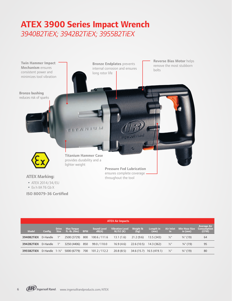### **ATEX 3900 Series Impact Wrench** *3940B2TiEX; 3942B2TiEX; 3955B2TiEX*



- ATEX 2014/34/EU
- y Ex h IIA T6 Gb X

**ISO 80079-36 Certified**

| <b>ATEX Air Impacts</b> |          |                             |                                   |            |                             |                                      |                          |                          |                         |                                 |                                                   |  |
|-------------------------|----------|-----------------------------|-----------------------------------|------------|-----------------------------|--------------------------------------|--------------------------|--------------------------|-------------------------|---------------------------------|---------------------------------------------------|--|
| <b>Model</b>            | Confia.  | <b>Drive</b><br><b>Size</b> | <b>Max Torque</b><br>ft.-lb. (Nm) | <b>BPM</b> | <b>Sound Level</b><br>dB(A) | <b>Vibration Level</b><br>$M/52$ (K) | Weight <b>lb</b><br>(kg) | Lenath in<br>(mm)        | <b>Air Inlet</b><br>in. | <b>Min Hose Size</b><br>in (mm) | <b>Average Air</b><br><b>Consumption</b><br>(CFM) |  |
| 3940B2TiEX              | D-Handle |                             | 2500 (3729)                       | 800        | 100.6 / 111.6               | 13.1(1.6)                            | 21.2(9.6)                | 13.5 (343)               | $\frac{1}{2}$ "         | $\frac{3}{4}$ " (19)            | 64                                                |  |
| 3942B2TiEX              | D-Handle |                             | 3250 (4406)                       | 850        | 99.0 / 110.0                | 16.9(4.6)                            | 22.6(10.5)               | 14.3 (362)               | $\frac{1}{2}$ "         | $\frac{3}{4}$ " (19)            | 95                                                |  |
| 3955B2TiEX              | D-Handle | $1 - \frac{1}{2}$           | 5000 (6779)                       | 700        | 101.2 / 112.2               | 20.8(8.5)                            |                          | 34.6 (15.7) 16.5 (419.1) | $\frac{1}{2}$ "         | $\frac{3}{4}$ " (19)            | 80                                                |  |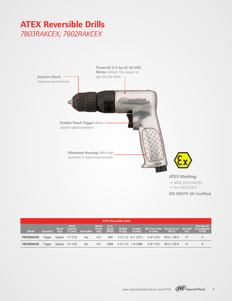## **ATEX Reversible Drills** *7803RAKCEX; 7802RAKCEX*



y Ex h IIA T6 Gb X

**ISO 80079-36 Certified**

| <b>ATEX Reversible Drills</b> |           |                             |                                            |            |                               |                                      |                               |                      |                                                |             |                 |                                                   |  |
|-------------------------------|-----------|-----------------------------|--------------------------------------------|------------|-------------------------------|--------------------------------------|-------------------------------|----------------------|------------------------------------------------|-------------|-----------------|---------------------------------------------------|--|
| <b>Model</b>                  | Actuation | <b>Chuck</b><br><b>Type</b> | <b>Chuck</b><br><b>Capacity</b><br>in (mm) | Reversible | Rated<br><b>Power</b><br>(hp) | <b>Free</b><br><b>Speed</b><br>(RPM) | Weight<br>$Ib$ ( $\bar{k}q$ ) | Length<br>in (mm)    | Min Hose Size Sound Level Air Inlet<br>in (mm) | dB(A)       | (in)            | <b>Average Air</b><br><b>Consumption</b><br>(CFM) |  |
| 7803RAKCEX                    | Trigger   |                             | Keyless $\frac{1}{2}$ " (13)               | Yes        | 0.5                           | 500                                  |                               | $3.3(1.5)$ 8.7 (221) | $3/8$ " (10)                                   | 83.0 / 94.0 | $\frac{1}{4}$ " | 4                                                 |  |
| 7802RAKCEX                    | Trigger   |                             | Keyless $\frac{3}{8}$ " (10)               | Yes        | 0.5                           | 2000                                 |                               | $2.9(1.2)$ 7.4 (188) | $3/8$ " (10)                                   | 82.0 / 93.0 | $\frac{1}{4}$ " |                                                   |  |